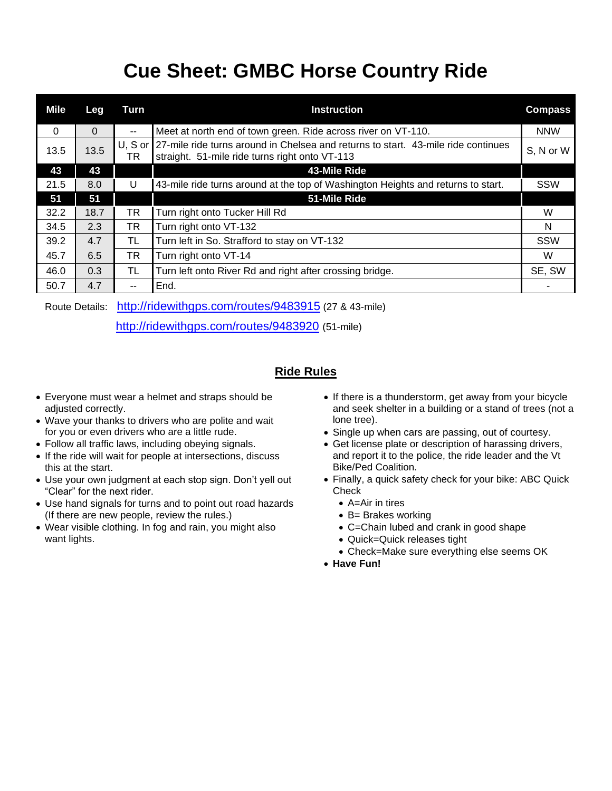## **Cue Sheet: GMBC Horse Country Ride**

| <b>Mile</b> | Leg  | Turn            | <b>Instruction</b>                                                                                                                  | <b>Compass</b> |
|-------------|------|-----------------|-------------------------------------------------------------------------------------------------------------------------------------|----------------|
| $\Omega$    | 0    | --              | Meet at north end of town green. Ride across river on VT-110.                                                                       | <b>NNW</b>     |
| 13.5        | 13.5 | $U, S$ or<br>TR | 27-mile ride turns around in Chelsea and returns to start. 43-mile ride continues<br>straight. 51-mile ride turns right onto VT-113 | S, N or W      |
| 43          | 43   |                 | 43-Mile Ride                                                                                                                        |                |
| 21.5        | 8.0  | U               | 43-mile ride turns around at the top of Washington Heights and returns to start.                                                    | SSW            |
| 51          | 51   |                 | 51-Mile Ride                                                                                                                        |                |
| 32.2        | 18.7 | TR              | Turn right onto Tucker Hill Rd                                                                                                      | W              |
| 34.5        | 2.3  | TR              | Turn right onto VT-132                                                                                                              | N              |
| 39.2        | 4.7  | TL              | Turn left in So. Strafford to stay on VT-132                                                                                        | <b>SSW</b>     |
| 45.7        | 6.5  | TR              | Turn right onto VT-14                                                                                                               | W              |
| 46.0        | 0.3  | TL              | Turn left onto River Rd and right after crossing bridge.                                                                            | SE, SW         |
| 50.7        | 4.7  | --              | End.                                                                                                                                |                |

Route Details: <http://ridewithgps.com/routes/9483915> (27 & 43-mile)

<http://ridewithgps.com/routes/9483920> (51-mile)

## **Ride Rules**

- Everyone must wear a helmet and straps should be adjusted correctly.
- Wave your thanks to drivers who are polite and wait for you or even drivers who are a little rude.
- Follow all traffic laws, including obeying signals.
- If the ride will wait for people at intersections, discuss this at the start.
- Use your own judgment at each stop sign. Don't yell out "Clear" for the next rider.
- Use hand signals for turns and to point out road hazards (If there are new people, review the rules.)
- Wear visible clothing. In fog and rain, you might also want lights.
- If there is a thunderstorm, get away from your bicycle and seek shelter in a building or a stand of trees (not a lone tree).
- Single up when cars are passing, out of courtesy.
- Get license plate or description of harassing drivers, and report it to the police, the ride leader and the Vt Bike/Ped Coalition.
- Finally, a quick safety check for your bike: ABC Quick **Check** 
	- A=Air in tires
	- B= Brakes working
	- C=Chain lubed and crank in good shape
	- Quick=Quick releases tight
	- Check=Make sure everything else seems OK
- **Have Fun!**